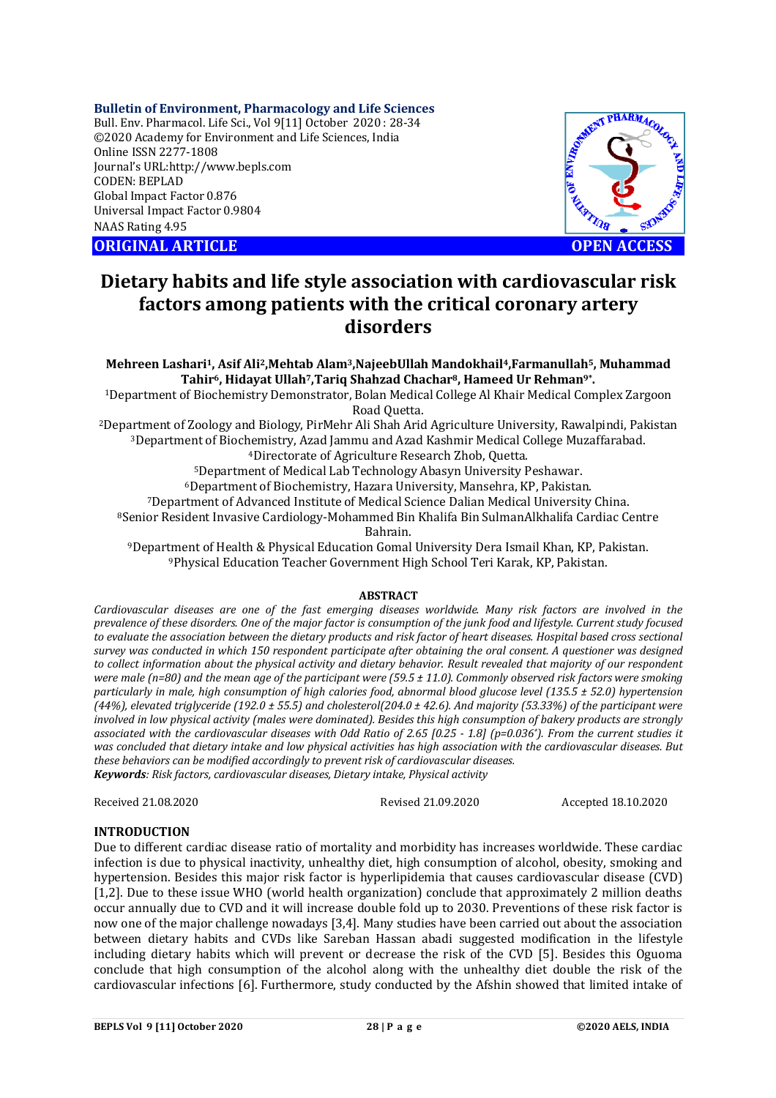### **Bulletin of Environment, Pharmacology and Life Sciences**

Bull. Env. Pharmacol. Life Sci., Vol 9[11] October 2020 : 28-34 ©2020 Academy for Environment and Life Sciences, India Online ISSN 2277-1808 Journal's URL:<http://www.bepls.com> CODEN: BEPLAD Global Impact Factor 0.876 Universal Impact Factor 0.9804 NAAS Rating 4.95

**ORIGINAL ARTICLE OPEN ACCESS**



# **Dietary habits and life style association with cardiovascular risk factors among patients with the critical coronary artery disorders**

**Mehreen Lashari1, Asif Ali2,Mehtab Alam3,NajeebUllah Mandokhail4,Farmanullah5, Muhammad Tahir6, Hidayat Ullah7,Tariq Shahzad Chachar8, Hameed Ur Rehman9\* .**

<sup>1</sup>Department of Biochemistry Demonstrator, Bolan Medical College Al Khair Medical Complex Zargoon Road Quetta.

<sup>2</sup>Department of Zoology and Biology, PirMehr Ali Shah Arid Agriculture University, Rawalpindi, Pakistan <sup>3</sup>Department of Biochemistry, Azad Jammu and Azad Kashmir Medical College Muzaffarabad.

<sup>4</sup>Directorate of Agriculture Research Zhob, Quetta.

<sup>5</sup>Department of Medical Lab Technology Abasyn University Peshawar.

<sup>6</sup>Department of Biochemistry, Hazara University, Mansehra, KP, Pakistan.

<sup>7</sup>Department of Advanced Institute of Medical Science Dalian Medical University China.

<sup>8</sup>Senior Resident Invasive Cardiology-Mohammed Bin Khalifa Bin SulmanAlkhalifa Cardiac Centre Bahrain.

<sup>9</sup>Department of Health & Physical Education Gomal University Dera Ismail Khan, KP, Pakistan. <sup>9</sup>Physical Education Teacher Government High School Teri Karak, KP, Pakistan.

#### **ABSTRACT**

*Cardiovascular diseases are one of the fast emerging diseases worldwide. Many risk factors are involved in the prevalence of these disorders. One of the major factor is consumption of the junk food and lifestyle. Current study focused to evaluate the association between the dietary products and risk factor of heart diseases. Hospital based cross sectional survey was conducted in which 150 respondent participate after obtaining the oral consent. A questioner was designed to collect information about the physical activity and dietary behavior. Result revealed that majority of our respondent were male (n=80) and the mean age of the participant were (59.5 ± 11.0). Commonly observed risk factors were smoking particularly in male, high consumption of high calories food, abnormal blood glucose level (135.5 ± 52.0) hypertension (44%), elevated triglyceride (192.0 ± 55.5) and cholesterol(204.0 ± 42.6). And majority (53.33%) of the participant were involved in low physical activity (males were dominated). Besides this high consumption of bakery products are strongly associated with the cardiovascular diseases with Odd Ratio of 2.65 [0.25 - 1.8] (p=0.036\*). From the current studies it was concluded that dietary intake and low physical activities has high association with the cardiovascular diseases. But these behaviors can be modified accordingly to prevent risk of cardiovascular diseases. Keywords: Risk factors, cardiovascular diseases, Dietary intake, Physical activity* 

Received 21.08.2020 Revised 21.09.2020 Accepted 18.10.2020

## **INTRODUCTION**

Due to different cardiac disease ratio of mortality and morbidity has increases worldwide. These cardiac infection is due to physical inactivity, unhealthy diet, high consumption of alcohol, obesity, smoking and hypertension. Besides this major risk factor is hyperlipidemia that causes cardiovascular disease (CVD) [1,2]. Due to these issue WHO (world health organization) conclude that approximately 2 million deaths occur annually due to CVD and it will increase double fold up to 2030. Preventions of these risk factor is now one of the major challenge nowadays [3,4]. Many studies have been carried out about the association between dietary habits and CVDs like Sareban Hassan abadi suggested modification in the lifestyle including dietary habits which will prevent or decrease the risk of the CVD [5]. Besides this Oguoma conclude that high consumption of the alcohol along with the unhealthy diet double the risk of the cardiovascular infections [6]. Furthermore, study conducted by the Afshin showed that limited intake of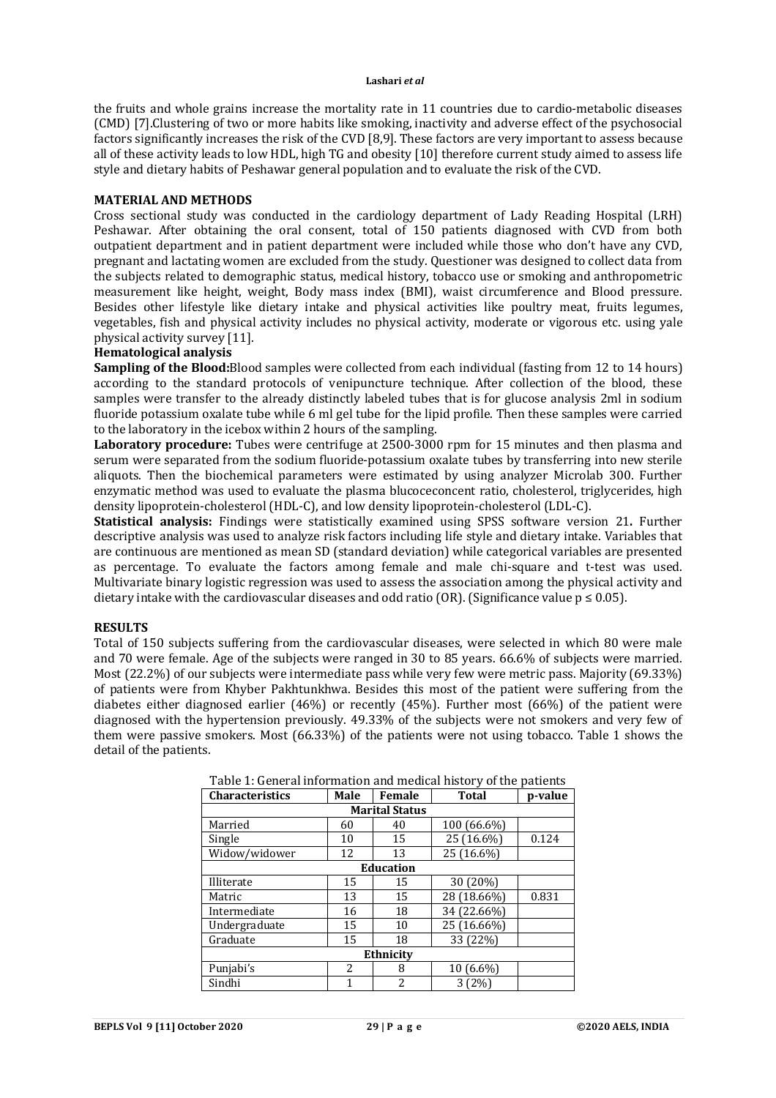the fruits and whole grains increase the mortality rate in 11 countries due to cardio-metabolic diseases (CMD) [7].Clustering of two or more habits like smoking, inactivity and adverse effect of the psychosocial factors significantly increases the risk of the CVD [8,9]. These factors are very important to assess because all of these activity leads to low HDL, high TG and obesity [10] therefore current study aimed to assess life style and dietary habits of Peshawar general population and to evaluate the risk of the CVD.

#### **MATERIAL AND METHODS**

Cross sectional study was conducted in the cardiology department of Lady Reading Hospital (LRH) Peshawar. After obtaining the oral consent, total of 150 patients diagnosed with CVD from both outpatient department and in patient department were included while those who don't have any CVD, pregnant and lactating women are excluded from the study. Questioner was designed to collect data from the subjects related to demographic status, medical history, tobacco use or smoking and anthropometric measurement like height, weight, Body mass index (BMI), waist circumference and Blood pressure. Besides other lifestyle like dietary intake and physical activities like poultry meat, fruits legumes, vegetables, fish and physical activity includes no physical activity, moderate or vigorous etc. using yale physical activity survey [11].

## **Hematological analysis**

**Sampling of the Blood:**Blood samples were collected from each individual (fasting from 12 to 14 hours) according to the standard protocols of venipuncture technique. After collection of the blood, these samples were transfer to the already distinctly labeled tubes that is for glucose analysis 2ml in sodium fluoride potassium oxalate tube while 6 ml gel tube for the lipid profile. Then these samples were carried to the laboratory in the icebox within 2 hours of the sampling.

**Laboratory procedure:** Tubes were centrifuge at 2500-3000 rpm for 15 minutes and then plasma and serum were separated from the sodium fluoride-potassium oxalate tubes by transferring into new sterile aliquots. Then the biochemical parameters were estimated by using analyzer Microlab 300. Further enzymatic method was used to evaluate the plasma blucoceconcent ratio, cholesterol, triglycerides, high density lipoprotein-cholesterol (HDL-C), and low density lipoprotein-cholesterol (LDL-C).

**Statistical analysis:** Findings were statistically examined using SPSS software version 21**.** Further descriptive analysis was used to analyze risk factors including life style and dietary intake. Variables that are continuous are mentioned as mean SD (standard deviation) while categorical variables are presented as percentage. To evaluate the factors among female and male chi-square and t-test was used. Multivariate binary logistic regression was used to assess the association among the physical activity and dietary intake with the cardiovascular diseases and odd ratio (OR). (Significance value  $p \le 0.05$ ).

#### **RESULTS**

Total of 150 subjects suffering from the cardiovascular diseases, were selected in which 80 were male and 70 were female. Age of the subjects were ranged in 30 to 85 years. 66.6% of subjects were married. Most (22.2%) of our subjects were intermediate pass while very few were metric pass. Majority (69.33%) of patients were from Khyber Pakhtunkhwa. Besides this most of the patient were suffering from the diabetes either diagnosed earlier (46%) or recently (45%). Further most (66%) of the patient were diagnosed with the hypertension previously. 49.33% of the subjects were not smokers and very few of them were passive smokers. Most (66.33%) of the patients were not using tobacco. Table 1 shows the detail of the patients.

| I able 1. General information and medical motory of the patients |           |                |                         |       |  |  |  |  |
|------------------------------------------------------------------|-----------|----------------|-------------------------|-------|--|--|--|--|
| <b>Characteristics</b>                                           | Male      | Female         | <b>Total</b><br>p-value |       |  |  |  |  |
| <b>Marital Status</b>                                            |           |                |                         |       |  |  |  |  |
| Married                                                          | 60        | 40             | 100 (66.6%)             |       |  |  |  |  |
| Single                                                           | 10        | 15             | 25 (16.6%)              | 0.124 |  |  |  |  |
| Widow/widower                                                    | 12        | 13             | 25 (16.6%)              |       |  |  |  |  |
|                                                                  | Education |                |                         |       |  |  |  |  |
| Illiterate                                                       | 15        | 15             | 30 (20%)                |       |  |  |  |  |
| Matric                                                           | 13        | 15             | 28 (18.66%)             | 0.831 |  |  |  |  |
| Intermediate                                                     | 16        | 18             | 34 (22.66%)             |       |  |  |  |  |
| Undergraduate                                                    | 15        | 10             | 25 (16.66%)             |       |  |  |  |  |
| Graduate                                                         | 15        | 18             | 33 (22%)                |       |  |  |  |  |
| Ethnicity                                                        |           |                |                         |       |  |  |  |  |
| Punjabi's                                                        | 2         | 8              | 10 (6.6%)               |       |  |  |  |  |
| Sindhi                                                           | 1         | $\overline{2}$ | 3(2%)                   |       |  |  |  |  |

Table 1: General information and medical history of the patients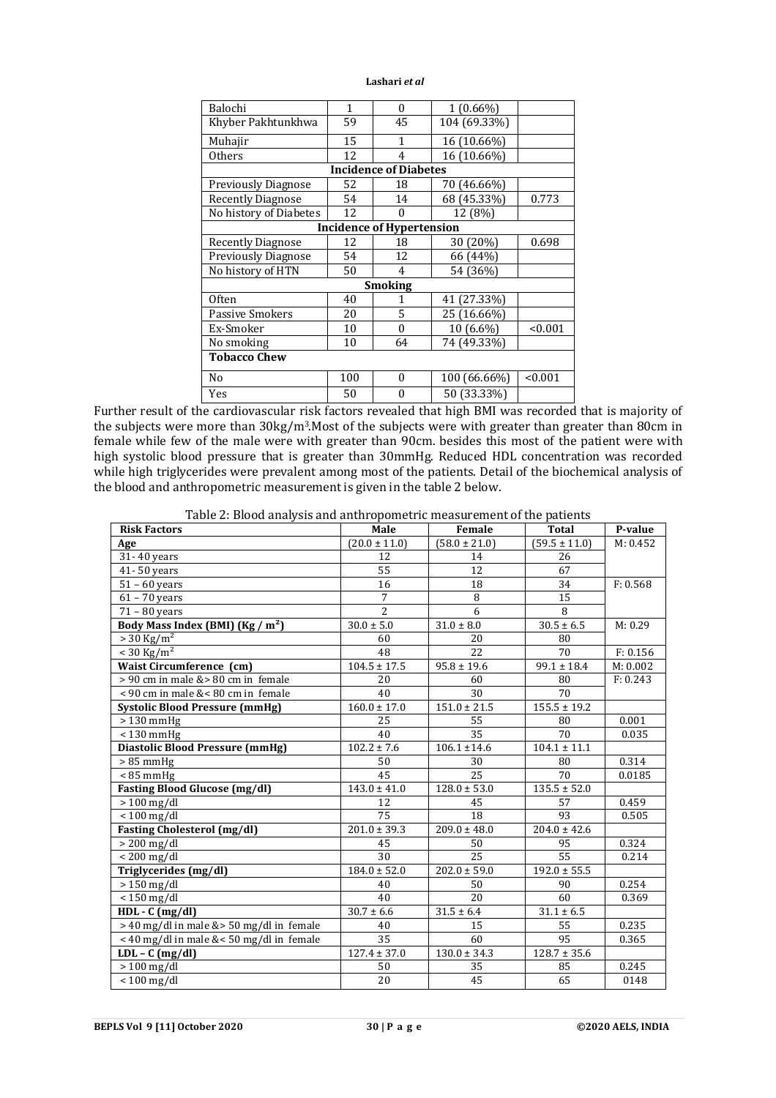| Balochi                                        | 1   | $\theta$                     | $1(0.66\%)$                        |             |  |  |  |
|------------------------------------------------|-----|------------------------------|------------------------------------|-------------|--|--|--|
| Khyber Pakhtunkhwa                             | 59  | 45                           | 104 (69.33%)                       |             |  |  |  |
| Muhajir                                        | 15  | 1                            | 16 (10.66%)                        |             |  |  |  |
| <b>Others</b>                                  | 12  | 4                            | 16 (10.66%)                        |             |  |  |  |
|                                                |     | <b>Incidence of Diabetes</b> |                                    |             |  |  |  |
| <b>Previously Diagnose</b>                     | 52  | 18                           | 70 (46.66%)                        |             |  |  |  |
| <b>Recently Diagnose</b>                       | 54  | 14                           | 68 (45.33%)                        | 0.773       |  |  |  |
| No history of Diabetes                         | 12  | 0                            | 12 (8%)                            |             |  |  |  |
| <b>Incidence of Hypertension</b>               |     |                              |                                    |             |  |  |  |
| <b>Recently Diagnose</b>                       | 12  | 18                           | 30 (20%)                           | 0.698       |  |  |  |
| <b>Previously Diagnose</b>                     | 54  | 12                           | 66 (44%)                           |             |  |  |  |
| No history of HTN                              | 50  | 4                            | 54 (36%)                           |             |  |  |  |
| Smoking                                        |     |                              |                                    |             |  |  |  |
| <b>Often</b>                                   | 40  |                              | 41 (27.33%)                        |             |  |  |  |
| <b>Passive Smokers</b>                         | 20  | 5                            | 25 (16.66%)                        |             |  |  |  |
| Ex-Smoker                                      | 10  | 0                            | 10 (6.6%)                          | < 0.001     |  |  |  |
| No smoking                                     | 10  | 64                           | 74 (49.33%)                        |             |  |  |  |
| <b>Tobacco Chew</b>                            |     |                              |                                    |             |  |  |  |
| N <sub>0</sub>                                 | 100 | $\theta$                     | 100 (66.66%)                       | < 0.001     |  |  |  |
| Yes<br>$1 \cdot 1$ $1 \cdot 1$<br>$\mathbf{1}$ | 50  | $\theta$                     | 50 (33.33%)<br>$1 - 1 + 1 + 1 - 1$ | $1 \cdot 1$ |  |  |  |

Further result of the cardiovascular risk factors revealed that high BMI was recorded that is majority of the subjects were more than 30kg/m3.Most of the subjects were with greater than greater than 80cm in female while few of the male were with greater than 90cm. besides this most of the patient were with high systolic blood pressure that is greater than 30mmHg. Reduced HDL concentration was recorded while high triglycerides were prevalent among most of the patients. Detail of the biochemical analysis of the blood and anthropometric measurement is given in the table 2 below.

| e ar blood andryolo and anthropollictric measurement or the patients<br><b>Risk Factors</b> | Male                        | Female                     | Total             | P-value  |
|---------------------------------------------------------------------------------------------|-----------------------------|----------------------------|-------------------|----------|
| Age                                                                                         | $(20.0 \pm 11.0)$           | $(58.0 \pm 21.0)$          | $(59.5 \pm 11.0)$ | M: 0.452 |
| 31-40 years                                                                                 | 12                          | 14                         | 26                |          |
| $41 - 50$ years                                                                             | 55                          | 12                         | 67                |          |
| $51 - 60$ years                                                                             | 16                          | 18                         | 34                | F: 0.568 |
| $61 - 70$ years                                                                             | 7                           | 8                          | 15                |          |
| $71 - 80$ years                                                                             | $\overline{2}$              | 6                          | 8                 |          |
| Body Mass Index (BMI) (Kg / m <sup>2</sup> )                                                | $30.0 \pm 5.0$              | $31.0 \pm 8.0$             | $30.5 \pm 6.5$    | M: 0.29  |
| $> 30 \text{ Kg/m}^2$                                                                       | 60                          | 20                         | 80                |          |
| $< 30 \text{ Kg/m}^2$                                                                       | 48                          | 22                         | 70                | F: 0.156 |
| <b>Waist Circumference (cm)</b>                                                             | $104.5 \pm 17.5$            | $\overline{95.8} \pm 19.6$ | $99.1 \pm 18.4$   | M: 0.002 |
| > 90 cm in male & > 80 cm in female                                                         | 20                          | 60                         | 80                | F: 0.243 |
| < 90 cm in male &< 80 cm in female                                                          | 40                          | 30                         | 70                |          |
| <b>Systolic Blood Pressure (mmHg)</b>                                                       | $160.0 \pm 17.0$            | $151.0 \pm 21.5$           | $155.5 \pm 19.2$  |          |
| $>130$ mmHg                                                                                 | 25                          | 55                         | 80                | 0.001    |
| $< 130$ mmHg                                                                                | 40                          | 35                         | 70                | 0.035    |
| <b>Diastolic Blood Pressure (mmHg)</b>                                                      | $102.2 \pm 7.6$             | $106.1 \pm 14.6$           | $104.1 \pm 11.1$  |          |
| $> 85$ mmHg                                                                                 | 50                          | 30                         | 80                | 0.314    |
| $< 85$ mmHg                                                                                 | 45                          | 25                         | 70                | 0.0185   |
| <b>Fasting Blood Glucose (mg/dl)</b>                                                        | $143.0 \pm 41.0$            | $128.0 \pm 53.0$           | $135.5 \pm 52.0$  |          |
| $> 100$ mg/dl                                                                               | 12                          | 45                         | 57                | 0.459    |
| $< 100$ mg/dl                                                                               | 75                          | 18                         | 93                | 0.505    |
| <b>Fasting Cholesterol (mg/dl)</b>                                                          | $\overline{201.0} \pm 39.3$ | $209.0 \pm 48.0$           | $204.0 \pm 42.6$  |          |
| $> 200$ mg/dl                                                                               | 45                          | 50                         | 95                | 0.324    |
| $< 200$ mg/dl                                                                               | 30                          | 25                         | 55                | 0.214    |
| Triglycerides (mg/dl)                                                                       | $184.0 \pm 52.0$            | $202.0 \pm 59.0$           | $192.0 \pm 55.5$  |          |
| $\frac{1}{2}$ 150 mg/dl                                                                     | 40                          | 50                         | 90                | 0.254    |
| $< 150$ mg/dl                                                                               | 40                          | 20                         | 60                | 0.369    |
| $HDL - C (mg/dl)$                                                                           | $30.7 \pm 6.6$              | $31.5 \pm 6.4$             | $31.1 \pm 6.5$    |          |
| $>$ 40 mg/dl in male & $>$ 50 mg/dl in female                                               | 40                          | 15                         | 55                | 0.235    |
| < 40 mg/dl in male &< 50 mg/dl in female                                                    | 35                          | 60                         | 95                | 0.365    |
| $LDL - C (mg/dl)$                                                                           | $127.4 \pm 37.0$            | $130.0 \pm 34.3$           | $128.7 \pm 35.6$  |          |
| $> 100$ mg/dl                                                                               | 50                          | 35                         | 85                | 0.245    |
| $< 100$ mg/dl                                                                               | 20                          | 45                         | 65                | 0148     |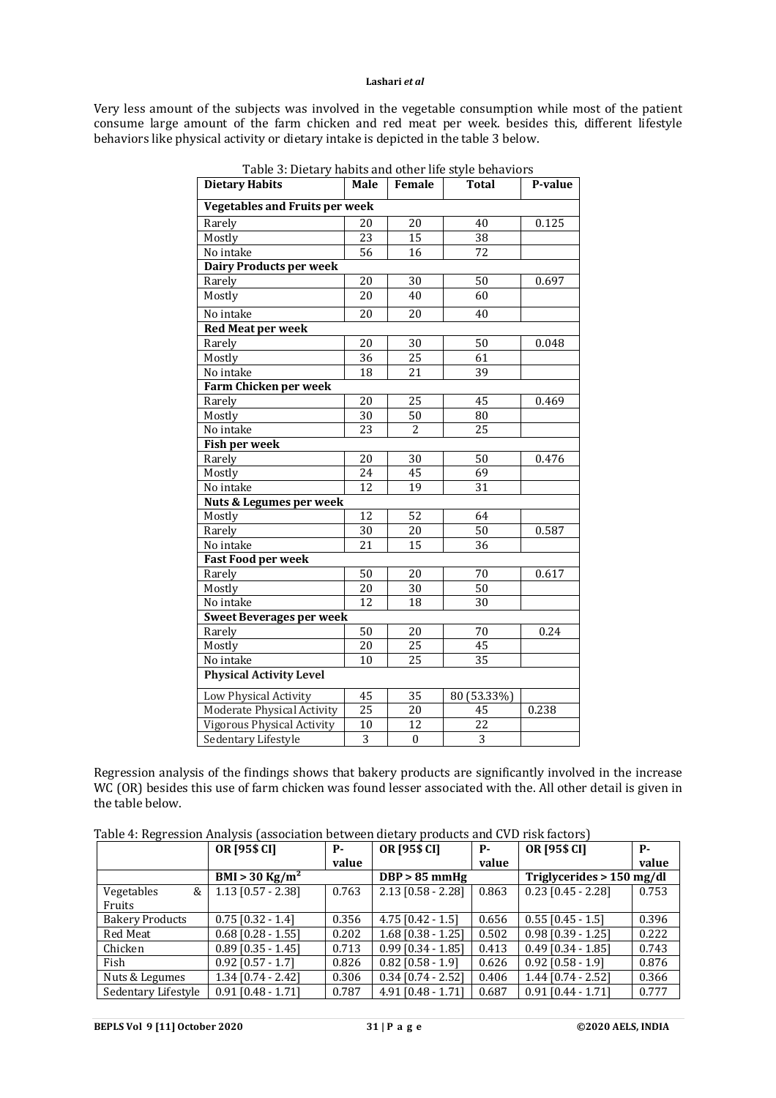Very less amount of the subjects was involved in the vegetable consumption while most of the patient consume large amount of the farm chicken and red meat per week. besides this, different lifestyle behaviors like physical activity or dietary intake is depicted in the table 3 below.

| 1010012101011<br><b>Dietary Habits</b> | Male            | Female           | <b>Total</b>    | P-value |  |  |  |
|----------------------------------------|-----------------|------------------|-----------------|---------|--|--|--|
| <b>Vegetables and Fruits per week</b>  |                 |                  |                 |         |  |  |  |
| Rarely                                 | 20              | 20               | 40              | 0.125   |  |  |  |
| Mostly                                 | 23              | 15               | 38              |         |  |  |  |
| No intake                              | 56              | 16               | 72              |         |  |  |  |
| <b>Dairy Products per week</b>         |                 |                  |                 |         |  |  |  |
| Rarely                                 | $\overline{20}$ | 30               | 50              | 0.697   |  |  |  |
| Mostly                                 | 20              | 40               | 60              |         |  |  |  |
| No intake                              | 20              | 20               | 40              |         |  |  |  |
| <b>Red Meat per week</b>               |                 |                  |                 |         |  |  |  |
| Rarely                                 | 20              | 30               | 50              | 0.048   |  |  |  |
| Mostly                                 | $\overline{36}$ | $\overline{25}$  | 61              |         |  |  |  |
| No intake                              | 18              | 21               | 39              |         |  |  |  |
| Farm Chicken per week                  |                 |                  |                 |         |  |  |  |
| Rarely                                 | 20              | 25               | 45              | 0.469   |  |  |  |
| Mostly                                 | 30              | 50               | 80              |         |  |  |  |
| No intake                              | 23              | 2                | 25              |         |  |  |  |
| Fish per week                          |                 |                  |                 |         |  |  |  |
| Rarely                                 | 20              | 30               | 50              | 0.476   |  |  |  |
| Mostly                                 | 24              | 45               | 69              |         |  |  |  |
| No intake                              | 12              | 19               | 31              |         |  |  |  |
| Nuts & Legumes per week                |                 |                  |                 |         |  |  |  |
| Mostly                                 | $\overline{12}$ | $\overline{52}$  | 64              |         |  |  |  |
| Rarely                                 | $\overline{30}$ | 20               | $\overline{50}$ | 0.587   |  |  |  |
| No intake                              | 21              | 15               | 36              |         |  |  |  |
| <b>Fast Food per week</b>              |                 |                  |                 |         |  |  |  |
| Rarely                                 | 50              | 20               | 70              | 0.617   |  |  |  |
| Mostly                                 | 20              | 30               | $\overline{50}$ |         |  |  |  |
| No intake                              | 12              | 18               | 30              |         |  |  |  |
| <b>Sweet Beverages per week</b>        |                 |                  |                 |         |  |  |  |
| Rarely                                 | $\overline{50}$ | 20               | 70              | 0.24    |  |  |  |
| Mostly                                 | 20              | $\overline{25}$  | 45              |         |  |  |  |
| No intake                              | 10              | $\overline{25}$  | $\overline{35}$ |         |  |  |  |
| <b>Physical Activity Level</b>         |                 |                  |                 |         |  |  |  |
| Low Physical Activity                  | 45              | 35               | 80 (53.33%)     |         |  |  |  |
| Moderate Physical Activity             | $\overline{25}$ | $\overline{20}$  | 45              | 0.238   |  |  |  |
| <b>Vigorous Physical Activity</b>      | 10              | 12               | 22              |         |  |  |  |
| Sedentary Lifestyle                    | $\overline{3}$  | $\boldsymbol{0}$ | $\overline{3}$  |         |  |  |  |

Regression analysis of the findings shows that bakery products are significantly involved in the increase WC (OR) besides this use of farm chicken was found lesser associated with the. All other detail is given in the table below.

|  | Table 4: Regression Analysis (association between dietary products and CVD risk factors) |
|--|------------------------------------------------------------------------------------------|
|  |                                                                                          |

|                        | OR [95\$ CI]                 | р.    | OR [95\$ CI]           | р.    | OR [95\$ CI]              | <b>P-</b> |
|------------------------|------------------------------|-------|------------------------|-------|---------------------------|-----------|
|                        |                              | value |                        | value |                           | value     |
|                        | $BMI > 30$ Kg/m <sup>2</sup> |       | $DBP > 85$ mmHg        |       | Triglycerides > 150 mg/dl |           |
| Vegetables<br>&        | $1.13$ [0.57 - 2.38]         | 0.763 | $2.13$ [0.58 - 2.28]   | 0.863 | $0.23$ [0.45 - 2.28]      | 0.753     |
| Fruits                 |                              |       |                        |       |                           |           |
| <b>Bakery Products</b> | $0.75$ [0.32 - 1.4]          | 0.356 | $4.75$ [0.42 - 1.5]    | 0.656 | $0.55$ [0.45 - 1.5]       | 0.396     |
| Red Meat               | $0.68$ [0.28 - 1.55]         | 0.202 | $1.68$ [0.38 - 1.25]   | 0.502 | $0.98$ $[0.39 - 1.25]$    | 0.222     |
| Chicken                | $0.89$ [0.35 - 1.45]         | 0.713 | $0.99$ [0.34 - 1.85]   | 0.413 | $0.49$ [0.34 - 1.85]      | 0.743     |
| Fish                   | $0.92$ $[0.57 - 1.7]$        | 0.826 | $0.82$ $[0.58 - 1.9]$  | 0.626 | $0.92$ [0.58 - 1.9]       | 0.876     |
| Nuts & Legumes         | $1.34$ [0.74 - 2.42]         | 0.306 | $0.34$ [0.74 - 2.52]   | 0.406 | $1.44$ [0.74 - 2.52]      | 0.366     |
| Sedentary Lifestyle    | $0.91$ [0.48 - 1.71]         | 0.787 | $4.91$ $[0.48 - 1.71]$ | 0.687 | $0.91$ $[0.44 - 1.71]$    | 0.777     |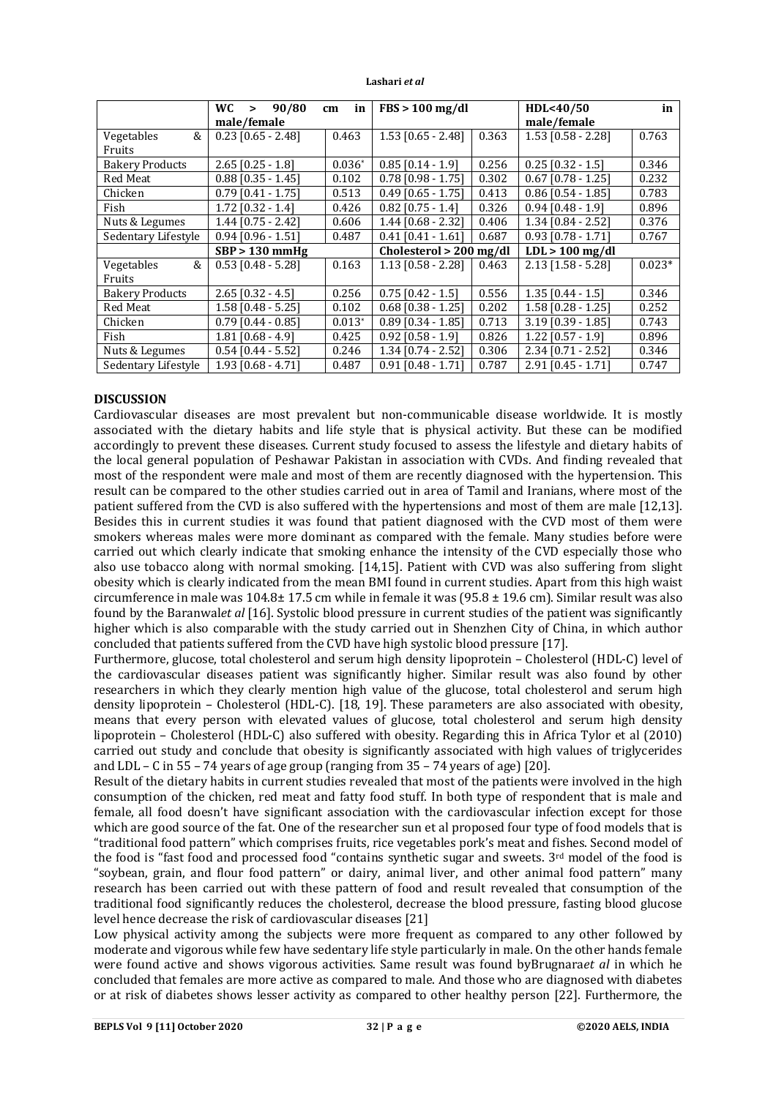|                        | WC.<br>90/80<br>$\geq$ | in<br>cm | $FBS > 100$ mg/dl         |       | HDL<40/50              | in       |
|------------------------|------------------------|----------|---------------------------|-------|------------------------|----------|
|                        | male/female            |          |                           |       | male/female            |          |
| &<br>Vegetables        | $0.23$ [0.65 - 2.48]   | 0.463    | $1.53$ [0.65 - 2.48]      | 0.363 | $1.53$ [0.58 - 2.28]   | 0.763    |
| <b>Fruits</b>          |                        |          |                           |       |                        |          |
| <b>Bakery Products</b> | $2.65$ [0.25 - 1.8]    | $0.036*$ | $0.85$ [0.14 - 1.9]       | 0.256 | $0.25$ [0.32 - 1.5]    | 0.346    |
| Red Meat               | $0.88$ [0.35 - 1.45]   | 0.102    | $0.78$ [0.98 - 1.75]      | 0.302 | $0.67$ [0.78 - 1.25]   | 0.232    |
| Chicken                | $0.79$ $[0.41 - 1.75]$ | 0.513    | $0.49$ $[0.65 - 1.75]$    | 0.413 | $0.86$ $[0.54 - 1.85]$ | 0.783    |
| Fish                   | 1.72 [0.32 - 1.4]      | 0.426    | $0.82$ $[0.75 - 1.4]$     | 0.326 | $0.94$ [0.48 - 1.9]    | 0.896    |
| Nuts & Legumes         | $1.44$ [0.75 - 2.42]   | 0.606    | $1.44$ [0.68 - 2.32]      | 0.406 | 1.34 [0.84 - 2.52]     | 0.376    |
| Sedentary Lifestyle    | $0.94$ $[0.96 - 1.51]$ | 0.487    | $0.41$ $[0.41 - 1.61]$    | 0.687 | $0.93$ [0.78 - 1.71]   | 0.767    |
|                        | $SBP > 130$ mmHg       |          | $Cholesterol > 200$ mg/dl |       | $LDL > 100$ mg/dl      |          |
| &<br>Vegetables        | $0.53$ [0.48 - 5.28]   | 0.163    | $1.13$ [0.58 - 2.28]      | 0.463 | $2.13$ [1.58 - 5.28]   | $0.023*$ |
| Fruits                 |                        |          |                           |       |                        |          |
| <b>Bakery Products</b> | $2.65$ [0.32 - 4.5]    | 0.256    | $0.75$ [0.42 - 1.5]       | 0.556 | $1.35$ $[0.44 - 1.5]$  | 0.346    |
| Red Meat               | $1.58$ $[0.48 - 5.25]$ | 0.102    | $0.68$ [0.38 - 1.25]      | 0.202 | $1.58$ $[0.28 - 1.25]$ | 0.252    |
| Chicken                | $0.79$ $[0.44 - 0.85]$ | $0.013*$ | $0.89$ [0.34 - 1.85]      | 0.713 | $3.19$ $[0.39 - 1.85]$ | 0.743    |
| Fish                   | $1.81$ $[0.68 - 4.9]$  | 0.425    | $0.92$ [0.58 - 1.9]       | 0.826 | $1.22$ [0.57 - 1.9]    | 0.896    |
| Nuts & Legumes         | $0.54$ [0.44 - 5.52]   | 0.246    | $1.34$ [0.74 - 2.52]      | 0.306 | 2.34 [0.71 - 2.52]     | 0.346    |
| Sedentary Lifestyle    | $1.93$ [0.68 - 4.71]   | 0.487    | $0.91$ [0.48 - 1.71]      | 0.787 | $2.91$ [0.45 - 1.71]   | 0.747    |

# **DISCUSSION**

Cardiovascular diseases are most prevalent but non-communicable disease worldwide. It is mostly associated with the dietary habits and life style that is physical activity. But these can be modified accordingly to prevent these diseases. Current study focused to assess the lifestyle and dietary habits of the local general population of Peshawar Pakistan in association with CVDs. And finding revealed that most of the respondent were male and most of them are recently diagnosed with the hypertension. This result can be compared to the other studies carried out in area of Tamil and Iranians, where most of the patient suffered from the CVD is also suffered with the hypertensions and most of them are male [12,13]. Besides this in current studies it was found that patient diagnosed with the CVD most of them were smokers whereas males were more dominant as compared with the female. Many studies before were carried out which clearly indicate that smoking enhance the intensity of the CVD especially those who also use tobacco along with normal smoking. [14,15]. Patient with CVD was also suffering from slight obesity which is clearly indicated from the mean BMI found in current studies. Apart from this high waist circumference in male was  $104.8\pm 17.5$  cm while in female it was (95.8  $\pm$  19.6 cm). Similar result was also found by the Baranwal*et al* [16]. Systolic blood pressure in current studies of the patient was significantly higher which is also comparable with the study carried out in Shenzhen City of China, in which author concluded that patients suffered from the CVD have high systolic blood pressure [17].

Furthermore, glucose, total cholesterol and serum high density lipoprotein – Cholesterol (HDL-C) level of the cardiovascular diseases patient was significantly higher. Similar result was also found by other researchers in which they clearly mention high value of the glucose, total cholesterol and serum high density lipoprotein – Cholesterol (HDL-C). [18, 19]. These parameters are also associated with obesity, means that every person with elevated values of glucose, total cholesterol and serum high density lipoprotein – Cholesterol (HDL-C) also suffered with obesity. Regarding this in Africa Tylor et al (2010) carried out study and conclude that obesity is significantly associated with high values of triglycerides and LDL – C in 55 – 74 years of age group (ranging from 35 – 74 years of age) [20].

Result of the dietary habits in current studies revealed that most of the patients were involved in the high consumption of the chicken, red meat and fatty food stuff. In both type of respondent that is male and female, all food doesn't have significant association with the cardiovascular infection except for those which are good source of the fat. One of the researcher sun et al proposed four type of food models that is "traditional food pattern" which comprises fruits, rice vegetables pork's meat and fishes. Second model of the food is "fast food and processed food "contains synthetic sugar and sweets. 3rd model of the food is "soybean, grain, and flour food pattern" or dairy, animal liver, and other animal food pattern" many research has been carried out with these pattern of food and result revealed that consumption of the traditional food significantly reduces the cholesterol, decrease the blood pressure, fasting blood glucose level hence decrease the risk of cardiovascular diseases [21]

Low physical activity among the subjects were more frequent as compared to any other followed by moderate and vigorous while few have sedentary life style particularly in male. On the other hands female were found active and shows vigorous activities. Same result was found byBrugnara*et al* in which he concluded that females are more active as compared to male. And those who are diagnosed with diabetes or at risk of diabetes shows lesser activity as compared to other healthy person [22]. Furthermore, the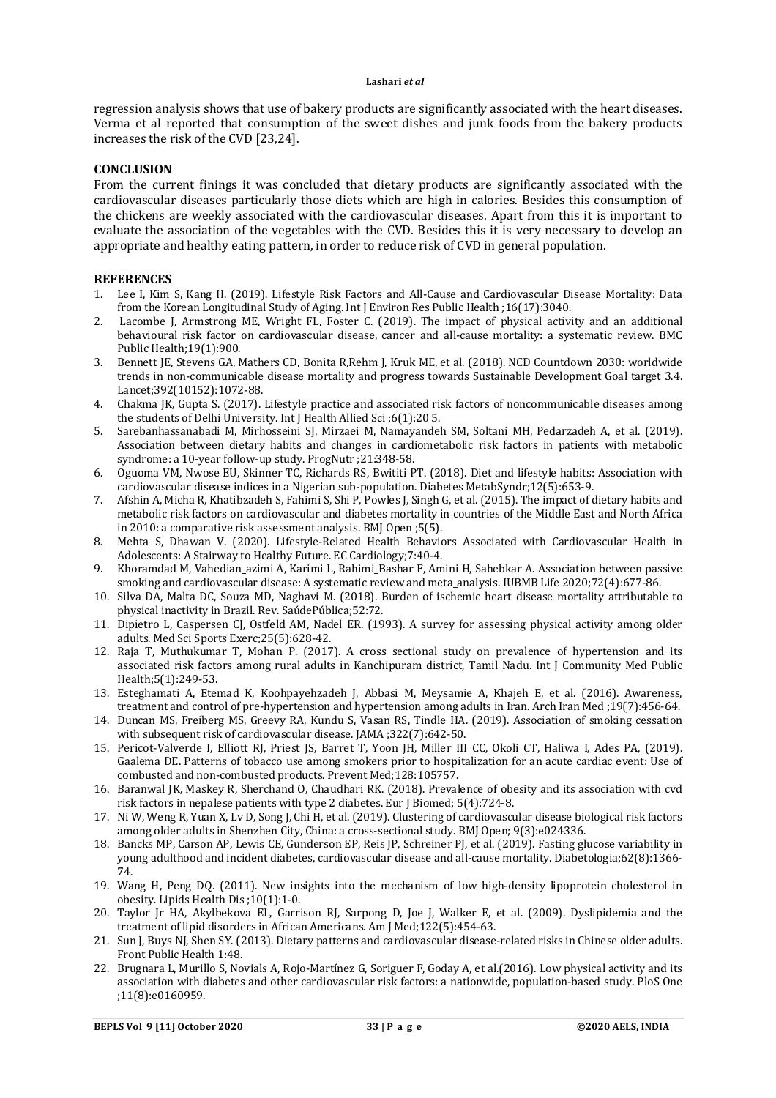regression analysis shows that use of bakery products are significantly associated with the heart diseases. Verma et al reported that consumption of the sweet dishes and junk foods from the bakery products increases the risk of the CVD [23,24].

#### **CONCLUSION**

From the current finings it was concluded that dietary products are significantly associated with the cardiovascular diseases particularly those diets which are high in calories. Besides this consumption of the chickens are weekly associated with the cardiovascular diseases. Apart from this it is important to evaluate the association of the vegetables with the CVD. Besides this it is very necessary to develop an appropriate and healthy eating pattern, in order to reduce risk of CVD in general population.

#### **REFERENCES**

- 1. Lee I, Kim S, Kang H. (2019). Lifestyle Risk Factors and All-Cause and Cardiovascular Disease Mortality: Data from the Korean Longitudinal Study of Aging. Int J Environ Res Public Health ;16(17):3040.
- 2. Lacombe J, Armstrong ME, Wright FL, Foster C. (2019). The impact of physical activity and an additional behavioural risk factor on cardiovascular disease, cancer and all-cause mortality: a systematic review. BMC Public Health;19(1):900.
- 3. Bennett JE, Stevens GA, Mathers CD, Bonita R,Rehm J, Kruk ME, et al. (2018). NCD Countdown 2030: worldwide trends in non-communicable disease mortality and progress towards Sustainable Development Goal target 3.4. Lancet;392(10152):1072-88.
- 4. Chakma JK, Gupta S. (2017). Lifestyle practice and associated risk factors of noncommunicable diseases among the students of Delhi University. Int J Health Allied Sci ;6(1):20 5.
- 5. Sarebanhassanabadi M, Mirhosseini SJ, Mirzaei M, Namayandeh SM, Soltani MH, Pedarzadeh A, et al. (2019). Association between dietary habits and changes in cardiometabolic risk factors in patients with metabolic syndrome: a 10-year follow-up study. ProgNutr ;21:348-58.
- 6. Oguoma VM, Nwose EU, Skinner TC, Richards RS, Bwititi PT. (2018). Diet and lifestyle habits: Association with cardiovascular disease indices in a Nigerian sub-population. Diabetes MetabSyndr;12(5):653-9.
- 7. Afshin A, Micha R, Khatibzadeh S, Fahimi S, Shi P, Powles J, Singh G, et al. (2015). The impact of dietary habits and metabolic risk factors on cardiovascular and diabetes mortality in countries of the Middle East and North Africa in 2010: a comparative risk assessment analysis. BMJ Open ;5(5).
- 8. Mehta S, Dhawan V. (2020). Lifestyle-Related Health Behaviors Associated with Cardiovascular Health in Adolescents: A Stairway to Healthy Future. EC Cardiology;7:40-4.
- 9. Khoramdad M, Vahedian azimi A, Karimi L, Rahimi Bashar F, Amini H, Sahebkar A. Association between passive smoking and cardiovascular disease: A systematic review and meta\_analysis. IUBMB Life 2020:72(4):677-86.
- 10. Silva DA, Malta DC, Souza MD, Naghavi M. (2018). Burden of ischemic heart disease mortality attributable to physical inactivity in Brazil. Rev. SaúdePública;52:72.
- 11. Dipietro L, Caspersen CJ, Ostfeld AM, Nadel ER. (1993). A survey for assessing physical activity among older adults. Med Sci Sports Exerc;25(5):628-42.
- 12. Raja T, Muthukumar T, Mohan P. (2017). A cross sectional study on prevalence of hypertension and its associated risk factors among rural adults in Kanchipuram district, Tamil Nadu. Int J Community Med Public Health;5(1):249-53.
- 13. Esteghamati A, Etemad K, Koohpayehzadeh J, Abbasi M, Meysamie A, Khajeh E, et al. (2016). Awareness, treatment and control of pre-hypertension and hypertension among adults in Iran. Arch Iran Med ;19(7):456-64.
- 14. Duncan MS, Freiberg MS, Greevy RA, Kundu S, Vasan RS, Tindle HA. (2019). Association of smoking cessation with subsequent risk of cardiovascular disease. JAMA ;322(7):642-50.
- 15. Pericot-Valverde I, Elliott RJ, Priest JS, Barret T, Yoon JH, Miller III CC, Okoli CT, Haliwa I, Ades PA, (2019). Gaalema DE. Patterns of tobacco use among smokers prior to hospitalization for an acute cardiac event: Use of combusted and non-combusted products. Prevent Med;128:105757.
- 16. Baranwal JK, Maskey R, Sherchand O, Chaudhari RK. (2018). Prevalence of obesity and its association with cvd risk factors in nepalese patients with type 2 diabetes. Eur J Biomed; 5(4):724-8.
- 17. Ni W, Weng R, Yuan X, Lv D, Song J, Chi H, et al. (2019). Clustering of cardiovascular disease biological risk factors among older adults in Shenzhen City, China: a cross-sectional study. BMJ Open; 9(3):e024336.
- 18. Bancks MP, Carson AP, Lewis CE, Gunderson EP, Reis JP, Schreiner PJ, et al. (2019). Fasting glucose variability in young adulthood and incident diabetes, cardiovascular disease and all-cause mortality. Diabetologia;62(8):1366- 74.
- 19. Wang H, Peng DQ. (2011). New insights into the mechanism of low high-density lipoprotein cholesterol in obesity. Lipids Health Dis ;10(1):1-0.
- 20. Taylor Jr HA, Akylbekova EL, Garrison RJ, Sarpong D, Joe J, Walker E, et al. (2009). Dyslipidemia and the treatment of lipid disorders in African Americans. Am J Med;122(5):454-63.
- 21. Sun J, Buys NJ, Shen SY. (2013). Dietary patterns and cardiovascular disease-related risks in Chinese older adults. Front Public Health 1:48.
- 22. Brugnara L, Murillo S, Novials A, Rojo-Martínez G, Soriguer F, Goday A, et al.(2016). Low physical activity and its association with diabetes and other cardiovascular risk factors: a nationwide, population-based study. PloS One ;11(8):e0160959.